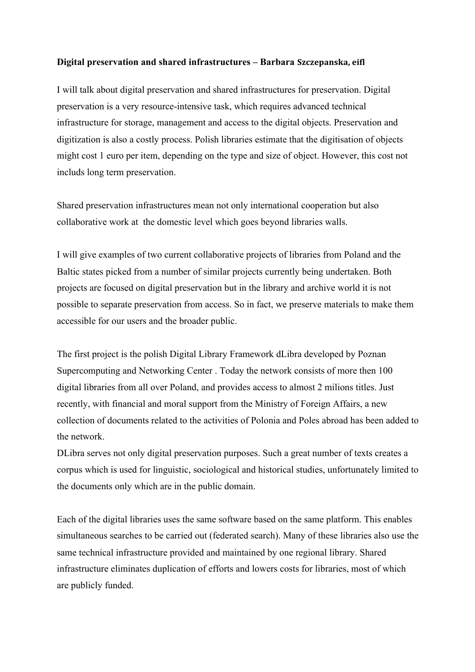## **Digital preservation and shared infrastructures – Barbara Szczepanska, eifl**

I will talk about digital preservation and shared infrastructures for preservation. Digital preservation is a very resource-intensive task, which requires advanced technical infrastructure for storage, management and access to the digital objects. Preservation and digitization is also a costly process. Polish libraries estimate that the digitisation of objects might cost 1 euro per item, depending on the type and size of object. However, this cost not includs long term preservation.

Shared preservation infrastructures mean not only international cooperation but also collaborative work at the domestic level which goes beyond libraries walls.

I will give examples of two current collaborative projects of libraries from Poland and the Baltic states picked from a number of similar projects currently being undertaken. Both projects are focused on digital preservation but in the library and archive world it is not possible to separate preservation from access. So in fact, we preserve materials to make them accessible for our users and the broader public.

The first project is the polish Digital Library Framework dLibra developed by Poznan Supercomputing and Networking Center . Today the network consists of more then 100 digital libraries from all over Poland, and provides access to almost 2 milions titles. Just recently, with financial and moral support from the Ministry of Foreign Affairs, a new collection of documents related to the activities of Polonia and Poles abroad has been added to the network.

DLibra serves not only digital preservation purposes. Such a great number of texts creates a corpus which is used for linguistic, sociological and historical studies, unfortunately limited to the documents only which are in the public domain.

Each of the digital libraries uses the same software based on the same platform. This enables simultaneous searches to be carried out (federated search). Many of these libraries also use the same technical infrastructure provided and maintained by one regional library. Shared infrastructure eliminates duplication of efforts and lowers costs for libraries, most of which are publicly funded.